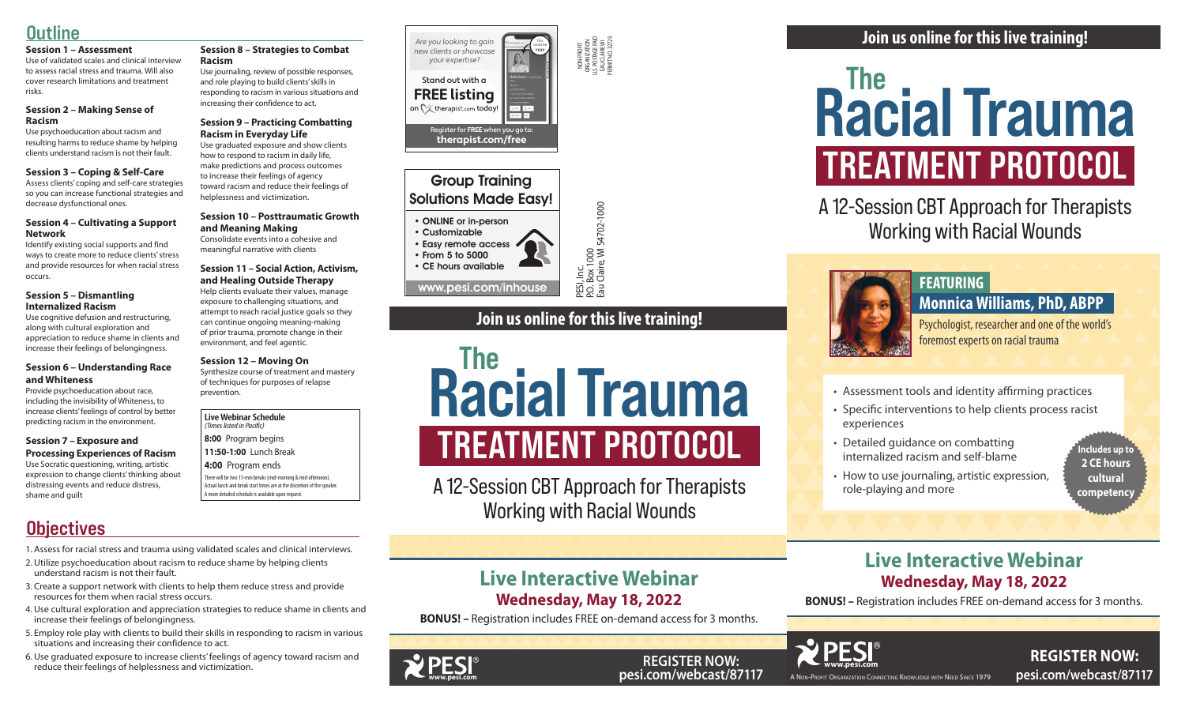A Non-Profit Organization Connecting Knowledge with Need Since 1979

**www.pesi.com besi.com/webcast/87117** A NON-PROFIT ORGANIZATION CONNECTING KNOWLEDGE WITH NEED SINCE 1979 **pesi.com/webcast/87117 REGISTER NOW:** 







**REGISTER NOW:** 

PESI, Inc.<br>P.O. Box 1000<br>Eau Claire, WI 54702-1000 P.O. Box 1000

NON-PROFIT ORGANIZATION U.S. POSTAGE PAID EAU CLAIRE WI PERMIT NO. 32729

Eau Claire, WI 54702-1000

#### **Live Webinar Schedule**

*(Times listed in Pacific)* **8:00** Program begins

**11:50-1:00** Lunch Break

**4:00** Program ends

There will be two 15-min breaks (mid-morning & mid-afternoon). Actual lunch and break start times are at the discretion of the speaker. A more detailed schedule is available upon request.

# **Objectives**

# **Live Interactive Webinar Wednesday, May 18, 2022**

**BONUS! –** Registration includes FREE on-demand access for 3 months.

# **Outline**

#### **Session 1 – Assessment**

Use of validated scales and clinical interview to assess racial stress and trauma. Will also cover research limitations and treatment risks.

#### **Session 2 – Making Sense of Racism**

Use psychoeducation about racism and resulting harms to reduce shame by helping clients understand racism is not their fault.

#### **Session 3 – Coping & Self-Care**

Assess clients' coping and self-care strategies so you can increase functional strategies and decrease dysfunctional ones.

#### **Session 4 – Cultivating a Support Network**

Identify existing social supports and find ways to create more to reduce clients' stress and provide resources for when racial stress occurs.

#### **Session 5 – Dismantling Internalized Racism**

Use cognitive defusion and restructuring, along with cultural exploration and appreciation to reduce shame in clients and increase their feelings of belongingness.

#### **Session 6 – Understanding Race and Whiteness**

Provide psychoeducation about race, including the invisibility of Whiteness, to increase clients' feelings of control by better predicting racism in the environment.

#### **Session 7 – Exposure and Processing Experiences of Racism**

# **FREATMENT PROTOC**<br> **WEBSENT TREATMENT PROTOC**<br> **WORKING WITH AND FRAMENT PROTOC**<br> **WORKING WITH AND FEATURING**<br> **WORKING MANUTE MISS AND AREADMOND**<br> **WORKING**<br> **WORKING**<br> **WORKING**<br> **WORKING**<br> **WORKING**<br> **WORKING**<br> **WORKI** Racial Trauma TREATMENT PROTOCOL

Use Socratic questioning, writing, artistic expression to change clients' thinking about distressing events and reduce distress, shame and guilt

#### **Session 8 – Strategies to Combat Racism**

Use journaling, review of possible responses, and role playing to build clients' skills in responding to racism in various situations and increasing their confidence to act.

# Racial Trauma TREATMENT PROTOCOL

#### **Session 9 – Practicing Combatting Racism in Everyday Life**

Use graduated exposure and show clients how to respond to racism in daily life, make predictions and process outcomes to increase their feelings of agency toward racism and reduce their feelings of helplessness and victimization.

#### **Session 10 – Posttraumatic Growth and Meaning Making**

Consolidate events into a cohesive and meaningful narrative with clients

#### **Session 11 – Social Action, Activism, and Healing Outside Therapy**

Help clients evaluate their values, manage exposure to challenging situations, and attempt to reach racial justice goals so they can continue ongoing meaning-making of prior trauma, promote change in their environment, and feel agentic.

#### **Session 12 – Moving On**

Synthesize course of treatment and mastery of techniques for purposes of relapse prevention.

- 1. Assess for racial stress and trauma using validated scales and clinical interviews.
- 2.Utilize psychoeducation about racism to reduce shame by helping clients understand racism is not their fault.
- 3. Create a support network with clients to help them reduce stress and provide resources for them when racial stress occurs.
- 4.Use cultural exploration and appreciation strategies to reduce shame in clients and increase their feelings of belongingness.
- 5. Employ role play with clients to build their skills in responding to racism in various situations and increasing their confidence to act.
- 6.Use graduated exposure to increase clients' feelings of agency toward racism and reduce their feelings of helplessness and victimization.

# Group Training Solutions Made Easy!

#### • ONLINE or in-person

- Customizable • Easy remote access
- From 5 to 5000 • CE hours available

www.pesi.com/inhouse

A 12-Session CBT Approach for Therapists Working with Racial Wounds

# **FEATURING**

# **Monnica Williams, PhD, ABPP**

Psychologist, researcher and one of the world's foremost experts on racial trauma

• Assessment tools and identity affirming practices

- Specific interventions to help clients process racist experiences
- Detailed guidance on combatting internalized racism and self-blame
- How to use journaling, artistic expression, role-playing and more

# **Join us online for this live training!**

A 12-Session CBT Approach for Therapists Working with Racial Wounds

# **Live Interactive Webinar Wednesday, May 18, 2022**

**BONUS! –** Registration includes FREE on-demand access for 3 months.



**Includes up to 2 CE hours cultural competency**